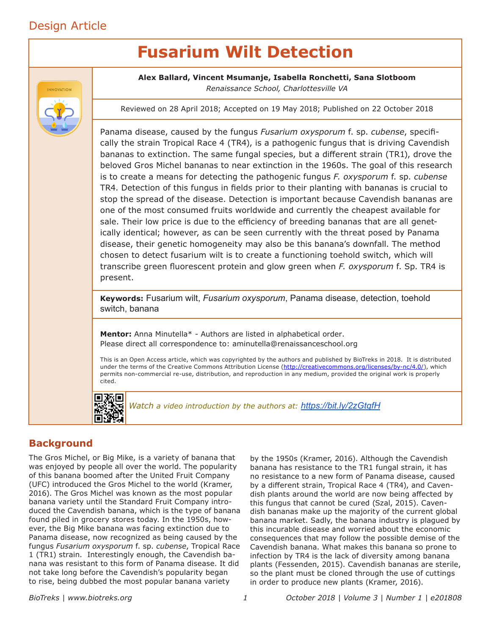# Design Article

# **Fusarium Wilt Detection**



**Alex Ballard, Vincent Msumanje, Isabella Ronchetti, Sana Slotboom** *Renaissance School, Charlottesville VA*

Reviewed on 28 April 2018; Accepted on 19 May 2018; Published on 22 October 2018

Panama disease, caused by the fungus *Fusarium oxysporum* f. sp. *cubense*, specifically the strain Tropical Race 4 (TR4), is a pathogenic fungus that is driving Cavendish bananas to extinction. The same fungal species, but a different strain (TR1), drove the beloved Gros Michel bananas to near extinction in the 1960s. The goal of this research is to create a means for detecting the pathogenic fungus *F. oxysporum* f. sp. *cubense* TR4. Detection of this fungus in fields prior to their planting with bananas is crucial to stop the spread of the disease. Detection is important because Cavendish bananas are one of the most consumed fruits worldwide and currently the cheapest available for sale. Their low price is due to the efficiency of breeding bananas that are all genetically identical; however, as can be seen currently with the threat posed by Panama disease, their genetic homogeneity may also be this banana's downfall. The method chosen to detect fusarium wilt is to create a functioning toehold switch, which will transcribe green fluorescent protein and glow green when *F. oxysporum* f. Sp. TR4 is present.

**Keywords:** Fusarium wilt, *Fusarium oxysporum*, Panama disease, detection, toehold switch, banana

**Mentor:** Anna Minutella\* - Authors are listed in alphabetical order. Please direct all correspondence to: aminutella@renaissanceschool.org

This is an Open Access article, which was copyrighted by the authors and published by BioTreks in 2018. It is distributed under the terms of the Creative Commons Attribution License (http://creativecommons.org/licenses/by-nc/4.0/), which permits non-commercial re-use, distribution, and reproduction in any medium, provided the original work is properly cited.



*Watch a video introduction by the authors at: https://bit.ly/2zGtqfH*

# **Background**

The Gros Michel, or Big Mike, is a variety of banana that was enjoyed by people all over the world. The popularity of this banana boomed after the United Fruit Company (UFC) introduced the Gros Michel to the world (Kramer, 2016). The Gros Michel was known as the most popular banana variety until the Standard Fruit Company introduced the Cavendish banana, which is the type of banana found piled in grocery stores today. In the 1950s, however, the Big Mike banana was facing extinction due to Panama disease, now recognized as being caused by the fungus *Fusarium oxysporum* f. sp. *cubense*, Tropical Race 1 (TR1) strain. Interestingly enough, the Cavendish banana was resistant to this form of Panama disease. It did not take long before the Cavendish's popularity began to rise, being dubbed the most popular banana variety

by the 1950s (Kramer, 2016). Although the Cavendish banana has resistance to the TR1 fungal strain, it has no resistance to a new form of Panama disease, caused by a different strain, Tropical Race 4 (TR4), and Cavendish plants around the world are now being affected by this fungus that cannot be cured (Szal, 2015). Cavendish bananas make up the majority of the current global banana market. Sadly, the banana industry is plagued by this incurable disease and worried about the economic consequences that may follow the possible demise of the Cavendish banana. What makes this banana so prone to infection by TR4 is the lack of diversity among banana plants (Fessenden, 2015). Cavendish bananas are sterile, so the plant must be cloned through the use of cuttings in order to produce new plants (Kramer, 2016).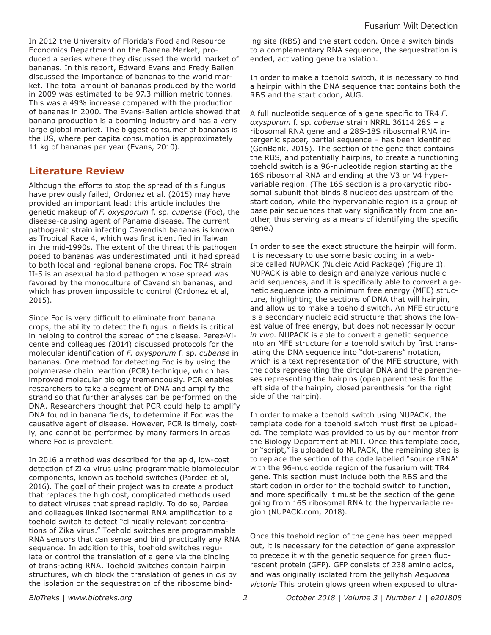In 2012 the University of Florida's Food and Resource Economics Department on the Banana Market, produced a series where they discussed the world market of bananas. In this report, Edward Evans and Fredy Ballen discussed the importance of bananas to the world market. The total amount of bananas produced by the world in 2009 was estimated to be 97.3 million metric tonnes. This was a 49% increase compared with the production of bananas in 2000. The Evans-Ballen article showed that banana production is a booming industry and has a very large global market. The biggest consumer of bananas is the US, where per capita consumption is approximately 11 kg of bananas per year (Evans, 2010).

## **Literature Review**

Although the efforts to stop the spread of this fungus have previously failed, Ordonez et al. (2015) may have provided an important lead: this article includes the genetic makeup of *F. oxysporum* f. sp. *cubense* (Foc), the disease-causing agent of Panama disease. The current pathogenic strain infecting Cavendish bananas is known as Tropical Race 4, which was first identified in Taiwan in the mid-1990s. The extent of the threat this pathogen posed to bananas was underestimated until it had spread to both local and regional banana crops. Foc TR4 strain II-5 is an asexual haploid pathogen whose spread was favored by the monoculture of Cavendish bananas, and which has proven impossible to control (Ordonez et al, 2015).

Since Foc is very difficult to eliminate from banana crops, the ability to detect the fungus in fields is critical in helping to control the spread of the disease. Perez-Vicente and colleagues (2014) discussed protocols for the molecular identification of *F. oxysporum* f. sp. *cubense* in bananas. One method for detecting Foc is by using the polymerase chain reaction (PCR) technique, which has improved molecular biology tremendously. PCR enables researchers to take a segment of DNA and amplify the strand so that further analyses can be performed on the DNA. Researchers thought that PCR could help to amplify DNA found in banana fields, to determine if Foc was the causative agent of disease. However, PCR is timely, costly, and cannot be performed by many farmers in areas where Foc is prevalent.

In 2016 a method was described for the apid, low-cost detection of Zika virus using programmable biomolecular components, known as toehold switches (Pardee et al, 2016). The goal of their project was to create a product that replaces the high cost, complicated methods used to detect viruses that spread rapidly. To do so, Pardee and colleagues linked isothermal RNA amplification to a toehold switch to detect "clinically relevant concentrations of Zika virus." Toehold switches are programmable RNA sensors that can sense and bind practically any RNA sequence. In addition to this, toehold switches regulate or control the translation of a gene via the binding of trans-acting RNA. Toehold switches contain hairpin structures, which block the translation of genes in *cis* by the isolation or the sequestration of the ribosome binding site (RBS) and the start codon. Once a switch binds to a complementary RNA sequence, the sequestration is ended, activating gene translation.

In order to make a toehold switch, it is necessary to find a hairpin within the DNA sequence that contains both the RBS and the start codon, AUG.

A full nucleotide sequence of a gene specific to TR4 *F. oxysporum* f. sp. *cubense* strain NRRL 36114 28S – a ribosomal RNA gene and a 28S-18S ribosomal RNA intergenic spacer, partial sequence – has been identified (GenBank, 2015). The section of the gene that contains the RBS, and potentially hairpins, to create a functioning toehold switch is a 96-nucleotide region starting at the 16S ribosomal RNA and ending at the V3 or V4 hypervariable region. (The 16S section is a prokaryotic ribosomal subunit that binds 8 nucleotides upstream of the start codon, while the hypervariable region is a group of base pair sequences that vary significantly from one another, thus serving as a means of identifying the specific gene.)

In order to see the exact structure the hairpin will form, it is necessary to use some basic coding in a website called NUPACK (Nucleic Acid Package) (Figure 1). NUPACK is able to design and analyze various nucleic acid sequences, and it is specifically able to convert a genetic sequence into a minimum free energy (MFE) structure, highlighting the sections of DNA that will hairpin, and allow us to make a toehold switch. An MFE structure is a secondary nucleic acid structure that shows the lowest value of free energy, but does not necessarily occur *in vivo*. NUPACK is able to convert a genetic sequence into an MFE structure for a toehold switch by first translating the DNA sequence into "dot-parens" notation, which is a text representation of the MFE structure, with the dots representing the circular DNA and the parentheses representing the hairpins (open parenthesis for the left side of the hairpin, closed parenthesis for the right side of the hairpin).

In order to make a toehold switch using NUPACK, the template code for a toehold switch must first be uploaded. The template was provided to us by our mentor from the Biology Department at MIT. Once this template code, or "script," is uploaded to NUPACK, the remaining step is to replace the section of the code labelled "source rRNA" with the 96-nucleotide region of the fusarium wilt TR4 gene. This section must include both the RBS and the start codon in order for the toehold switch to function, and more specifically it must be the section of the gene going from 16S ribosomal RNA to the hypervariable region (NUPACK.com, 2018).

Once this toehold region of the gene has been mapped out, it is necessary for the detection of gene expression to precede it with the genetic sequence for green fluorescent protein (GFP). GFP consists of 238 amino acids, and was originally isolated from the jellyfish *Aequorea victoria* This protein glows green when exposed to ultra-

*BioTreks | www.biotreks.org October 2018 | Volume 3 | Number 1 | e201808*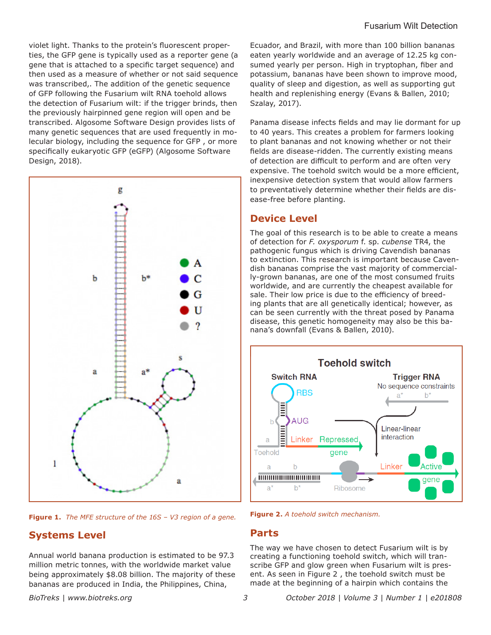violet light. Thanks to the protein's fluorescent properties, the GFP gene is typically used as a reporter gene (a gene that is attached to a specific target sequence) and then used as a measure of whether or not said sequence was transcribed,. The addition of the genetic sequence of GFP following the Fusarium wilt RNA toehold allows the detection of Fusarium wilt: if the trigger brinds, then the previously hairpinned gene region will open and be transcribed. Algosome Software Design provides lists of many genetic sequences that are used frequently in molecular biology, including the sequence for GFP , or more specifically eukaryotic GFP (eGFP) (Algosome Software Design, 2018).



**Figure 1.** *The MFE structure of the 16S – V3 region of a gene.*

### **Systems Level**

Annual world banana production is estimated to be 97.3 million metric tonnes, with the worldwide market value being approximately \$8.08 billion. The majority of these bananas are produced in India, the Philippines, China,

Ecuador, and Brazil, with more than 100 billion bananas eaten yearly worldwide and an average of 12.25 kg consumed yearly per person. High in tryptophan, fiber and potassium, bananas have been shown to improve mood, quality of sleep and digestion, as well as supporting gut health and replenishing energy (Evans & Ballen, 2010; Szalay, 2017).

Panama disease infects fields and may lie dormant for up to 40 years. This creates a problem for farmers looking to plant bananas and not knowing whether or not their fields are disease-ridden. The currently existing means of detection are difficult to perform and are often very expensive. The toehold switch would be a more efficient, inexpensive detection system that would allow farmers to preventatively determine whether their fields are disease-free before planting.

#### **Device Level**

The goal of this research is to be able to create a means of detection for *F. oxysporum* f. sp. *cubense* TR4, the pathogenic fungus which is driving Cavendish bananas to extinction. This research is important because Cavendish bananas comprise the vast majority of commercially-grown bananas, are one of the most consumed fruits worldwide, and are currently the cheapest available for sale. Their low price is due to the efficiency of breeding plants that are all genetically identical; however, as can be seen currently with the threat posed by Panama disease, this genetic homogeneity may also be this banana's downfall (Evans & Ballen, 2010).



**Figure 2.** *A toehold switch mechanism.*

#### **Parts**

The way we have chosen to detect Fusarium wilt is by creating a functioning toehold switch, which will transcribe GFP and glow green when Fusarium wilt is present. As seen in Figure 2 , the toehold switch must be made at the beginning of a hairpin which contains the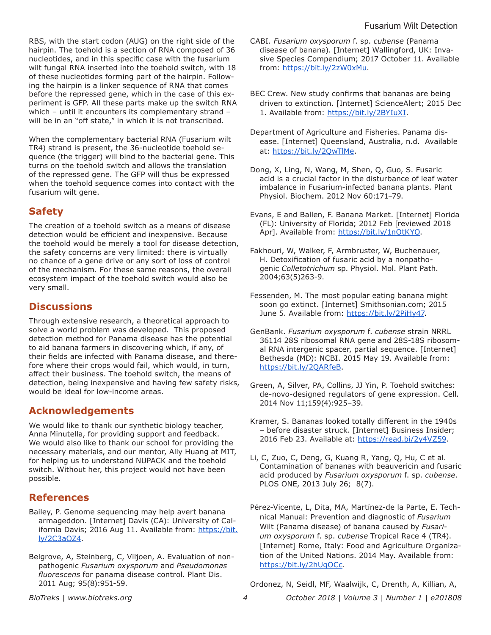RBS, with the start codon (AUG) on the right side of the hairpin. The toehold is a section of RNA composed of 36 nucleotides, and in this specific case with the fusarium wilt fungal RNA inserted into the toehold switch, with 18 of these nucleotides forming part of the hairpin. Following the hairpin is a linker sequence of RNA that comes before the repressed gene, which in the case of this experiment is GFP. All these parts make up the switch RNA which – until it encounters its complementary strand – will be in an "off state," in which it is not transcribed.

When the complementary bacterial RNA (Fusarium wilt TR4) strand is present, the 36-nucleotide toehold sequence (the trigger) will bind to the bacterial gene. This turns on the toehold switch and allows the translation of the repressed gene. The GFP will thus be expressed when the toehold sequence comes into contact with the fusarium wilt gene.

# **Safety**

The creation of a toehold switch as a means of disease detection would be efficient and inexpensive. Because the toehold would be merely a tool for disease detection, the safety concerns are very limited: there is virtually no chance of a gene drive or any sort of loss of control of the mechanism. For these same reasons, the overall ecosystem impact of the toehold switch would also be very small.

# **Discussions**

Through extensive research, a theoretical approach to solve a world problem was developed. This proposed detection method for Panama disease has the potential to aid banana farmers in discovering which, if any, of their fields are infected with Panama disease, and therefore where their crops would fail, which would, in turn, affect their business. The toehold switch, the means of detection, being inexpensive and having few safety risks, would be ideal for low-income areas.

# **Acknowledgements**

We would like to thank our synthetic biology teacher, Anna Minutella, for providing support and feedback. We would also like to thank our school for providing the necessary materials, and our mentor, Ally Huang at MIT, for helping us to understand NUPACK and the toehold switch. Without her, this project would not have been possible.

# **References**

- Bailey, P. Genome sequencing may help avert banana armageddon. [Internet] Davis (CA): University of California Davis; 2016 Aug 11. Available from: https://bit. ly/2C3aOZ4.
- Belgrove, A, Steinberg, C, Viljoen, A. Evaluation of nonpathogenic *Fusarium oxysporum* and *Pseudomonas fluorescens* for panama disease control. Plant Dis. 2011 Aug; 95(8):951-59.
- CABI. *Fusarium oxysporum* f. sp. *cubense* (Panama disease of banana). [Internet] Wallingford, UK: Invasive Species Compendium; 2017 October 11. Available from: https://bit.ly/2zW0xMu.
- BEC Crew. New study confirms that bananas are being driven to extinction. [Internet] ScienceAlert; 2015 Dec 1. Available from: https://bit.ly/2BYIuXI.
- Department of Agriculture and Fisheries. Panama disease. [Internet] Queensland, Australia, n.d. Available at: https://bit.ly/2QwTlMe.
- Dong, X, Ling, N, Wang, M, Shen, Q, Guo, S. Fusaric acid is a crucial factor in the disturbance of leaf water imbalance in Fusarium-infected banana plants. Plant Physiol. Biochem. 2012 Nov 60:171–79.
- Evans, E and Ballen, F. Banana Market. [Internet] Florida (FL): University of Florida; 2012 Feb [reviewed 2018 Apr]. Available from: https://bit.ly/1nOtKYO.
- Fakhouri, W, Walker, F, Armbruster, W, Buchenauer, H. Detoxification of fusaric acid by a nonpathogenic *Colletotrichum* sp. Physiol. Mol. Plant Path. 2004;63(5)263-9.
- Fessenden, M. The most popular eating banana might soon go extinct. [Internet] Smithsonian.com; 2015 June 5. Available from: https://bit.ly/2PiHy47.
- GenBank. *Fusarium oxysporum* f. *cubense* strain NRRL 36114 28S ribosomal RNA gene and 28S-18S ribosomal RNA intergenic spacer, partial sequence. [Internet] Bethesda (MD): NCBI. 2015 May 19. Available from: https://bit.ly/2QARfeB.
- Green, A, Silver, PA, Collins, JJ Yin, P. Toehold switches: de-novo-designed regulators of gene expression. Cell. 2014 Nov 11;159(4):925–39.
- Kramer, S. Bananas looked totally different in the 1940s – before disaster struck. [Internet] Business Insider; 2016 Feb 23. Available at: https://read.bi/2y4VZ59.
- Li, C, Zuo, C, Deng, G, Kuang R, Yang, Q, Hu, C et al. Contamination of bananas with beauvericin and fusaric acid produced by *Fusarium oxysporum* f. sp. *cubense*. PLOS ONE, 2013 July 26; 8(7).
- Pérez-Vicente, L, Dita, MA, Martínez-de la Parte, E. Technical Manual: Prevention and diagnostic of *Fusarium* Wilt (Panama disease) of banana caused by *Fusarium oxysporum* f. sp. *cubense* Tropical Race 4 (TR4). [Internet] Rome, Italy: Food and Agriculture Organization of the United Nations. 2014 May. Available from: https://bit.ly/2hUqOCc.

Ordonez, N, Seidl, MF, Waalwijk, C, Drenth, A, Killian, A,

*BioTreks | www.biotreks.org October 2018 | Volume 3 | Number 1 | e201808*